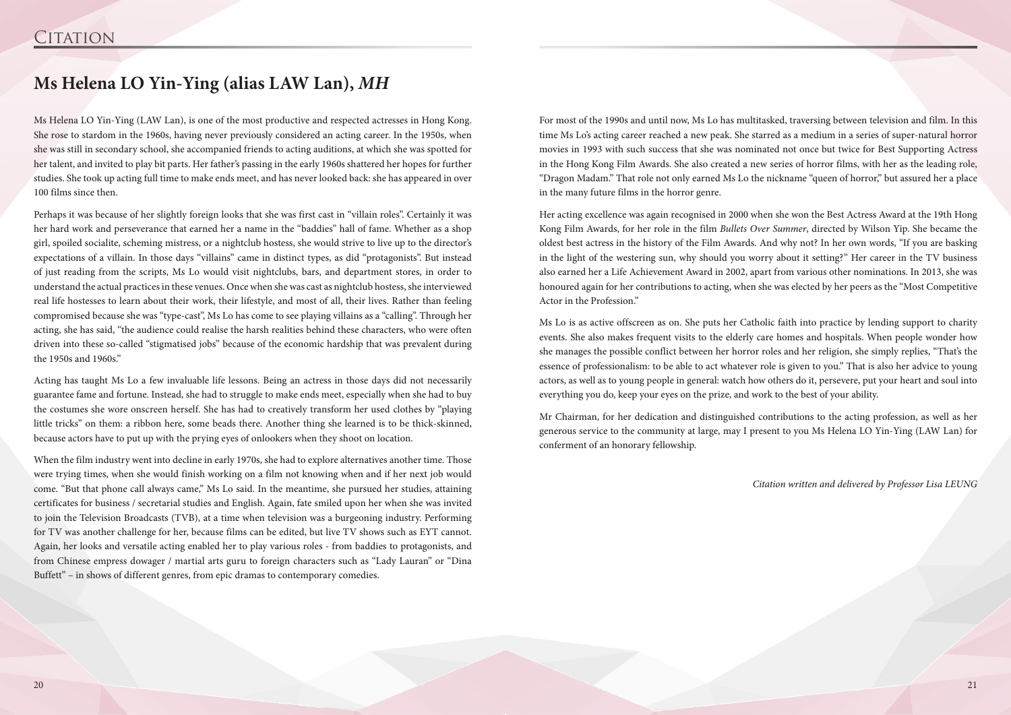Ms Helena LO Yin-Ying (LAW Lan), is one of the most productive and respected actresses in Hong Kong. She rose to stardom in the 1960s, having never previously considered an acting career. In the 1950s, when she was still in secondary school, she accompanied friends to acting auditions, at which she was spotted for her talent, and invited to play bit parts. Her father's passing in the early 1960s shattered her hopes for further studies. She took up acting full time to make ends meet, and has never looked back: she has appeared in over 100 films since then.

Perhaps it was because of her slightly foreign looks that she was first cast in "villain roles". Certainly it was her hard work and perseverance that earned her a name in the "baddies" hall of fame. Whether as a shop girl, spoiled socialite, scheming mistress, or a nightclub hostess, she would strive to live up to the director's expectations of a villain. In those days "villains" came in distinct types, as did "protagonists". But instead of just reading from the scripts, Ms Lo would visit nightclubs, bars, and department stores, in order to understand the actual practices in these venues. Once when she was cast as nightclub hostess, she interviewed real life hostesses to learn about their work, their lifestyle, and most of all, their lives. Rather than feeling compromised because she was "type-cast", Ms Lo has come to see playing villains as a "calling". Through her acting, she has said, "the audience could realise the harsh realities behind these characters, who were often driven into these so-called "stigmatised jobs" because of the economic hardship that was prevalent during the 1950s and 1960s."

Acting has taught Ms Lo a few invaluable life lessons. Being an actress in those days did not necessarily guarantee fame and fortune. Instead, she had to struggle to make ends meet, especially when she had to buy the costumes she wore onscreen herself. She has had to creatively transform her used clothes by "playing little tricks" on them: a ribbon here, some beads there. Another thing she learned is to be thick-skinned, because actors have to put up with the prying eyes of onlookers when they shoot on location.

When the film industry went into decline in early 1970s, she had to explore alternatives another time. Those were trying times, when she would finish working on a film not knowing when and if her next job would come. "But that phone call always came," Ms Lo said. In the meantime, she pursued her studies, attaining certificates for business / secretarial studies and English. Again, fate smiled upon her when she was invited to join the Television Broadcasts (TVB), at a time when television was a burgeoning industry. Performing for TV was another challenge for her, because films can be edited, but live TV shows such as EYT cannot. Again, her looks and versatile acting enabled her to play various roles - from baddies to protagonists, and from Chinese empress dowager / martial arts guru to foreign characters such as "Lady Lauran" or "Dina Buffett" – in shows of different genres, from epic dramas to contemporary comedies.

## **Ms Helena LO Yin-Ying (alias LAW Lan),** *MH*

For most of the 1990s and until now, Ms Lo has multitasked, traversing between television and film. In this time Ms Lo's acting career reached a new peak. She starred as a medium in a series of super-natural horror movies in 1993 with such success that she was nominated not once but twice for Best Supporting Actress in the Hong Kong Film Awards. She also created a new series of horror films, with her as the leading role, "Dragon Madam." That role not only earned Ms Lo the nickname "queen of horror," but assured her a place in the many future films in the horror genre.

Her acting excellence was again recognised in 2000 when she won the Best Actress Award at the 19th Hong Kong Film Awards, for her role in the film *Bullets Over Summer*, directed by Wilson Yip. She became the oldest best actress in the history of the Film Awards. And why not? In her own words, "If you are basking in the light of the westering sun, why should you worry about it setting?" Her career in the TV business also earned her a Life Achievement Award in 2002, apart from various other nominations. In 2013, she was honoured again for her contributions to acting, when she was elected by her peers as the "Most Competitive Actor in the Profession."

Ms Lo is as active offscreen as on. She puts her Catholic faith into practice by lending support to charity events. She also makes frequent visits to the elderly care homes and hospitals. When people wonder how she manages the possible conflict between her horror roles and her religion, she simply replies, "That's the essence of professionalism: to be able to act whatever role is given to you." That is also her advice to young actors, as well as to young people in general: watch how others do it, persevere, put your heart and soul into everything you do, keep your eyes on the prize, and work to the best of your ability.

Mr Chairman, for her dedication and distinguished contributions to the acting profession, as well as her generous service to the community at large, may I present to you Ms Helena LO Yin-Ying (LAW Lan) for conferment of an honorary fellowship.

*Citation written and delivered by Professor Lisa LEUNG*